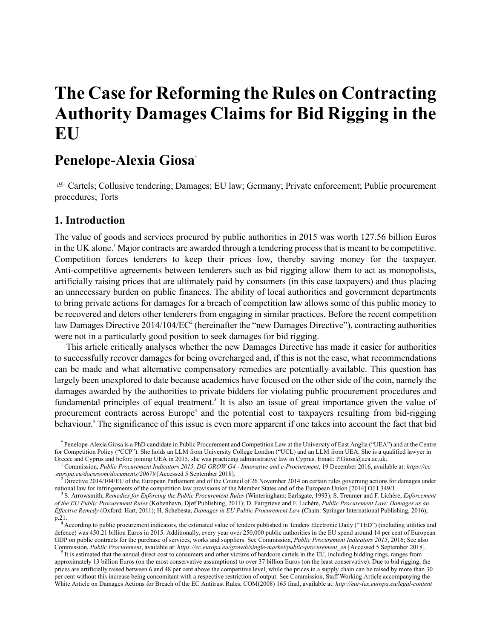# **The Case for Reforming the Rules on Contracting Authority Damages Claims for Bid Rigging in the EU**

# **Penelope-Alexia Giosa\***

 $\sigma$  Cartels; Collusive tendering; Damages; EU law; Germany; Private enforcement; Public procurement procedures; Torts

# **1. Introduction**

The value of goods and services procured by public authorities in 2015 was worth 127.56 billion Euros in the UK alone.<sup>1</sup> Major contracts are awarded through a tendering process that is meant to be competitive. Competition forces tenderers to keep their prices low, thereby saving money for the taxpayer. Anti-competitive agreements between tenderers such as bid rigging allow them to act as monopolists, artificially raising prices that are ultimately paid by consumers (in this case taxpayers) and thus placing an unnecessary burden on public finances. The ability of local authorities and government departments to bring private actions for damages for a breach of competition law allows some of this public money to be recovered and deters other tenderers from engaging in similar practices. Before the recent competition law Damages Directive 2014/104/EC<sup>2</sup> (hereinafter the "new Damages Directive"), contracting authorities were not in a particularly good position to seek damages for bid rigging.

This article critically analyses whether the new Damages Directive has made it easier for authorities to successfully recover damages for being overcharged and, if this is not the case, what recommendations can be made and what alternative compensatory remedies are potentially available. This question has largely been unexplored to date because academics have focused on the other side of the coin, namely the damages awarded by the authorities to private bidders for violating public procurement procedures and fundamental principles of equal treatment.<sup>3</sup> It is also an issue of great importance given the value of procurement contracts across Europe<sup>4</sup> and the potential cost to taxpayers resulting from bid-rigging behaviour. <sup>5</sup> The significance of this issue is even more apparent if one takes into account the fact that bid

 $<sup>5</sup>$  It is estimated that the annual direct cost to consumers and other victims of hardcore cartels in the EU, including bidding rings, ranges from</sup> approximately 13 billion Euros (on the most conservative assumptions) to over 37 billion Euros (on the least conservative). Due to bid rigging, the prices are artificially raised between 6 and 48 per cent above the competitive level, while the prices in a supply chain can be raised by more than 30 per cent without this increase being concomitant with a respective restriction of output. See Commission, Staff Working Article accompanying the White Article on Damages Actions for Breach of the EC Antitrust Rules, COM(2008) 165 final, available at: *http://eur-lex.europa.eu/legal-content*

<sup>\*</sup> Penelope-Alexia Giosa is a PhD candidate in Public Procurement and Competition Law at the University of East Anglia ("UEA") and at the Centre for Competition Policy ("CCP"). She holds an LLM from University College London ("UCL) and an LLM from UEA. She is a qualified lawyer in Greece and Cyprus and before joining UEA in 2015, she was practicing administrative law in Cyprus. Email: P.Giosa@uea.ac.uk.

<sup>1</sup> Commission, *Public Procurement Indicators 2015, DG GROW G4 - Innovative and e-Procurement*, 19 December 2016, available at: *https://ec*

*<sup>.</sup>europa.eu/docsroom/documents/20679* [Accessed 5 September 2018]. <sup>2</sup>Directive 2014/104/EU of the European Parliament and of the Council of 26 November 2014 on certain rules governing actions for damages under national law for infringements of the competition law provisions of the Member States and of the European Union [2014] OJ L349/1.

<sup>3</sup> S. Arrowsmith, *Remedies for Enforcing the Public Procurement Rules* (Winteringham: Earlsgate, 1993); S. Treumer and F. Lichère, *Enforcement of the EU Public Procurement Rules* (København, Djøf Publishing, 2011); D. Fairgrieve and F. Lichère, *Public Procurement Law: Damages as an Effective Remedy* (Oxford: Hart, 2011); H. Schebesta, *Damages in EU Public Procurement Law* (Cham: Springer International Publishing, 2016),

p.21.<br><sup>4</sup> According to public procurement indicators, the estimated value of tenders published in Tenders Electronic Daily ("TED") (including utilities and<br>defence) was 450.21 billion Euros in 2015. Additionally, every yea GDP on public contracts for the purchase of services, works and suppliers. See Commission, *Public Procurement Indicators 2015*, 2016; See also Commission, *Public Procurement*, available at: *https://ec.europa.eu/growth/single-market/public-procurement\_en* [Accessed 5 September 2018].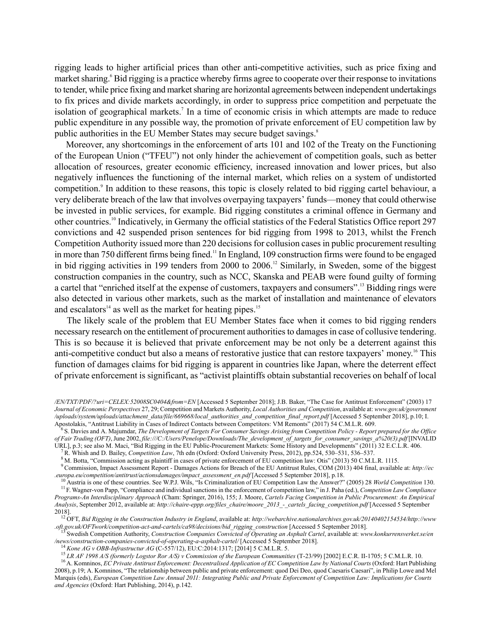rigging leads to higher artificial prices than other anti-competitive activities, such as price fixing and market sharing.<sup>6</sup> Bid rigging is a practice whereby firms agree to cooperate over their response to invitations to tender, while price fixing and market sharing are horizontal agreements between independent undertakings to fix prices and divide markets accordingly, in order to suppress price competition and perpetuate the isolation of geographical markets.<sup>7</sup> In a time of economic crisis in which attempts are made to reduce public expenditure in any possible way, the promotion of private enforcement of EU competition law by public authorities in the EU Member States may secure budget savings.<sup>8</sup>

Moreover, any shortcomings in the enforcement of arts 101 and 102 of the Treaty on the Functioning of the European Union ("TFEU") not only hinder the achievement of competition goals, such as better allocation of resources, greater economic efficiency, increased innovation and lower prices, but also negatively influences the functioning of the internal market, which relies on a system of undistorted competition.<sup>9</sup> In addition to these reasons, this topic is closely related to bid rigging cartel behaviour, a very deliberate breach of the law that involves overpaying taxpayers' funds—money that could otherwise be invested in public services, for example. Bid rigging constitutes a criminal offence in Germany and other countries.<sup>10</sup> Indicatively, in Germany the official statistics of the Federal Statistics Office report 297 convictions and 42 suspended prison sentences for bid rigging from 1998 to 2013, whilst the French Competition Authority issued more than 220 decisions for collusion cases in public procurement resulting in more than 750 different firms being fined.<sup>11</sup> In England, 109 construction firms were found to be engaged in bid rigging activities in 199 tenders from 2000 to  $2006<sup>12</sup>$  Similarly, in Sweden, some of the biggest construction companies in the country, such as NCC, Skanska and PEAB were found guilty of forming a cartel that "enriched itself at the expense of customers, taxpayers and consumers".<sup>13</sup> Bidding rings were also detected in various other markets, such as the market of installation and maintenance of elevators and escalators $14$  as well as the market for heating pipes.<sup>15</sup>

The likely scale of the problem that EU Member States face when it comes to bid rigging renders necessary research on the entitlement of procurement authorities to damages in case of collusive tendering. This is so because it is believed that private enforcement may be not only be a deterrent against this anti-competitive conduct but also a means of restorative justice that can restore taxpayers' money. <sup>16</sup> This function of damages claims for bid rigging is apparent in countries like Japan, where the deterrent effect of private enforcement is significant, as "activist plaintiffs obtain substantial recoveries on behalf of local

*<sup>/</sup>EN/TXT/PDF/?uri=CELEX:52008SC0404&from=EN* [Accessed 5 September 2018]; J.B. Baker, "The Case for Antitrust Enforcement" (2003) 17 *Journal of Economic Perspectives* 27, 29; Competition and Markets Authority, *Local Authorities and Competition*, available at: *www.gov.uk/government /uploads/system/uploads/attachment\_data/file/669668/local\_authorities\_and\_competition\_final\_report.pdf* [Accessed 5 September 2018], p.10; I. Apostolakis, "Antitrust Liability in Cases of Indirect Contacts between Competitors: VM Remonts" (2017) 54 C.M.L.R. 609.

<sup>&</sup>lt;sup>6</sup>S. Davies and A. Majumdar, The Development of Targets For Consumer Savings Arising from Competition Policy - Report prepared for the Office *of Fair Trading (OFT)*,June 2002, *file:///C:/Users/Penelope/Downloads/The\_development\_of\_targets\_for\_consumer\_savings\_a%20(3).pdf* [INVALID URL], p.3; see also M. Maci, "Bid Rigging in the EU Public-Procurement Markets: Some History and Developments" (2011) 32 E.C.L.R. 406.

<sup>7</sup> R. Whish and D. Bailey, *Competition Law*, 7th edn (Oxford: Oxford University Press, 2012), pp.524, 530–531, 536–537.

<sup>8</sup> M. Botta, "Commission acting as plaintiff in cases of private enforcement of EU competition law: Otis" (2013) 50 C.M.L.R. 1115.

<sup>9</sup> Commission, Impact Assessment Report - Damages Actions for Breach of the EU Antitrust Rules, COM (2013) 404 final, available at: *http://ec* europa.eu/competition/antitrust/actionsdamages/impact\_assessment\_en.pdf [Accessed 5 September 2018], p.18.<br><sup>10</sup> Austria is one of these countries. See W.P.J. Wils, "Is Criminalization of EU Competition Law the Answer?" (20

<sup>11</sup> F. Wagner-von Papp, "Compliance and individual sanctions in the enforcement of competition law," in J. Paha (ed.), *Competition Law Compliance Programs-An Interdisciplinary Approach* (Cham: Springer, 2016), 155; J. Moore, *Cartels Facing Competition in Public Procurement: An Empirical Analysis*, September 2012, available at: *http://chaire-eppp.org/files\_chaire/moore\_2013\_-\_cartels\_facing\_competition.pdf* [Accessed 5 September 2018].

<sup>12</sup> OFT, *Bid Rigging in the Construction Industry in England*, available at: *http://webarchive.nationalarchives.gov.uk/20140402154534/http://www .oft.gov.uk/OFTwork/competition-act-and-cartels/ca98/decisions/bid\_rigging\_construction* [Accessed 5 September 2018].

<sup>13</sup> Swedish Competition Authority, *Construction Companies Convicted of Operating an Asphalt Cartel*, available at: *www.konkurrensverket.se/en /news/construction-companies-convicted-of-operating-a-asphalt-cartel/* [Accessed 5 September 2018].

<sup>14</sup> *Kone AG v OBB-Infrastructur AG* (C-557/12), EU:C:2014:1317; [2014] 5 C.M.L.R. 5.

<sup>&</sup>lt;sup>15</sup>LR AF 1998 A/S (formerly Logstor Ror A/S) v Commission of the European Communities (T-23/99) [2002] E.C.R. II-1705; 5 C.M.L.R. 10.

<sup>&</sup>lt;sup>16</sup> A. Komninos, *EC Private Antitrust Enforcement: Decentralised Application of EC Competition Law by National Courts (Oxford: Hart Publishing* 2008), p.19; A. Komninos, "The relationship between public and private enforcement: quod Dei Deo, quod Caesaris Caesari", in Philip Lowe and Mel Marquis (eds). European Competition Law Annual 2011: Integrating Public and Private Enforcement of Competition Law: Implications for Courts *and Agencies* (Oxford: Hart Publishing, 2014), p.142.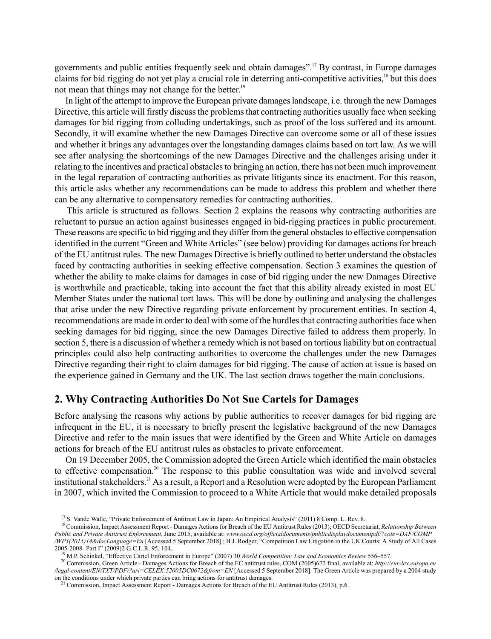governments and public entities frequently seek and obtain damages".<sup>17</sup> By contrast, in Europe damages claims for bid rigging do not yet play a crucial role in deterring anti-competitive activities,<sup>18</sup> but this does not mean that things may not change for the better.<sup>19</sup>

In light of the attempt to improve the European private damageslandscape, i.e. through the new Damages Directive, this article will firstly discuss the problems that contracting authorities usually face when seeking damages for bid rigging from colluding undertakings, such as proof of the loss suffered and its amount. Secondly, it will examine whether the new Damages Directive can overcome some or all of these issues and whether it brings any advantages over the longstanding damages claims based on tort law. As we will see after analysing the shortcomings of the new Damages Directive and the challenges arising under it relating to the incentives and practical obstaclesto bringing an action, there has not been much improvement in the legal reparation of contracting authorities as private litigants since its enactment. For this reason, this article asks whether any recommendations can be made to address this problem and whether there can be any alternative to compensatory remedies for contracting authorities.

This article is structured as follows. Section 2 explains the reasons why contracting authorities are reluctant to pursue an action against businesses engaged in bid-rigging practices in public procurement. These reasons are specific to bid rigging and they differ from the general obstaclesto effective compensation identified in the current "Green and White Articles" (see below) providing for damages actions for breach of the EU antitrust rules. The new Damages Directive is briefly outlined to better understand the obstacles faced by contracting authorities in seeking effective compensation. Section 3 examines the question of whether the ability to make claims for damages in case of bid rigging under the new Damages Directive is worthwhile and practicable, taking into account the fact that this ability already existed in most EU Member States under the national tort laws. This will be done by outlining and analysing the challenges that arise under the new Directive regarding private enforcement by procurement entities. In section 4, recommendations are made in order to deal with some of the hurdles that contracting authorities face when seeking damages for bid rigging, since the new Damages Directive failed to address them properly. In section 5, there is a discussion of whether a remedy which is not based on tortious liability but on contractual principles could also help contracting authorities to overcome the challenges under the new Damages Directive regarding their right to claim damages for bid rigging. The cause of action at issue is based on the experience gained in Germany and the UK. The last section draws together the main conclusions.

#### **2. Why Contracting Authorities Do Not Sue Cartels for Damages**

Before analysing the reasons why actions by public authorities to recover damages for bid rigging are infrequent in the EU, it is necessary to briefly present the legislative background of the new Damages Directive and refer to the main issues that were identified by the Green and White Article on damages actions for breach of the EU antitrust rules as obstacles to private enforcement.

On 19 December 2005, the Commission adopted the Green Article which identified the main obstacles to effective compensation.<sup>20</sup> The response to this public consultation was wide and involved several institutional stakeholders.<sup>21</sup> As a result, a Report and a Resolution were adopted by the European Parliament in 2007, which invited the Commission to proceed to a White Article that would make detailed proposals

<sup>&</sup>lt;sup>17</sup> S. Vande Walle, "Private Enforcement of Antitrust Law in Japan: An Empirical Analysis" (2011) 8 Comp. L. Rev. 8.

<sup>&</sup>lt;sup>18</sup> Commission, Impact Assessment Report - Damages Actions for Breach of the EU Antitrust Rules (2013); OECD Secretariat, *Relationship Between Public and Private Antitrust Enforcement*, June 2015, available at: *www.oecd.org/officialdocuments/publicdisplaydocumentpdf/?cote=DAF/COMP /WP3(2015)14&docLanguage=En* [Accessed 5 September 2018] ; B.J. Rodger, "Competition Law Litigation in the UK Courts: A Study of All Cases 2005-2008- Part I" (2009)2 G.C.L.R. 95, 104.

<sup>19</sup> M.P. Schinkel, "Effective Cartel Enforcement in Europe" (2007) 30 *World Competition: Law and Economics Review* 556–557.

<sup>20</sup> Commission, Green Article - Damages Actions for Breach of the EC antitrust rules, COM (2005)672 final, available at: *http://eur-lex.europa.eu /legal-content/EN/TXT/PDF/?uri=CELEX:52005DC0672&from=EN* [Accessed 5 September 2018]. The Green Article was prepared by a 2004 study on the conditions under which private parties can bring actions for antitrust damages.

<sup>&</sup>lt;sup>21</sup> Commission, Impact Assessment Report - Damages Actions for Breach of the EU Antitrust Rules (2013), p.6.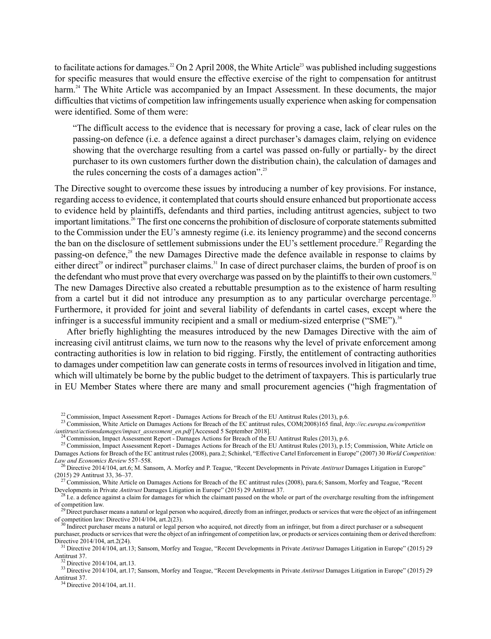to facilitate actions for damages.<sup>22</sup> On 2 April 2008, the White Article<sup>23</sup> was published including suggestions for specific measures that would ensure the effective exercise of the right to compensation for antitrust harm.<sup>24</sup> The White Article was accompanied by an Impact Assessment. In these documents, the major difficulties that victims of competition law infringements usually experience when asking for compensation were identified. Some of them were:

"The difficult access to the evidence that is necessary for proving a case, lack of clear rules on the passing-on defence (i.e. a defence against a direct purchaser's damages claim, relying on evidence showing that the overcharge resulting from a cartel was passed on-fully or partially- by the direct purchaser to its own customers further down the distribution chain), the calculation of damages and the rules concerning the costs of a damages action".<sup>25</sup>

The Directive sought to overcome these issues by introducing a number of key provisions. For instance, regarding access to evidence, it contemplated that courts should ensure enhanced but proportionate access to evidence held by plaintiffs, defendants and third parties, including antitrust agencies, subject to two important limitations.<sup>26</sup> The first one concerns the prohibition of disclosure of corporate statements submitted to the Commission under the EU's amnesty regime (i.e. its leniency programme) and the second concerns the ban on the disclosure of settlement submissions under the EU's settlement procedure.<sup>27</sup> Regarding the passing-on defence,<sup>28</sup> the new Damages Directive made the defence available in response to claims by either direct<sup>39</sup> or indirect<sup>30</sup> purchaser claims.<sup>31</sup> In case of direct purchaser claims, the burden of proof is on the defendant who must prove that every overcharge was passed on by the plaintiffs to their own customers.<sup>32</sup> The new Damages Directive also created a rebuttable presumption as to the existence of harm resulting from a cartel but it did not introduce any presumption as to any particular overcharge percentage.<sup>33</sup> Furthermore, it provided for joint and several liability of defendants in cartel cases, except where the infringer is a successful immunity recipient and a small or medium-sized enterprise ("SME").<sup>34</sup>

After briefly highlighting the measures introduced by the new Damages Directive with the aim of increasing civil antitrust claims, we turn now to the reasons why the level of private enforcement among contracting authorities is low in relation to bid rigging. Firstly, the entitlement of contracting authorities to damages under competition law can generate costs in terms of resources involved in litigation and time, which will ultimately be borne by the public budget to the detriment of taxpayers. This is particularly true in EU Member States where there are many and small procurement agencies ("high fragmentation of

<sup>27</sup> Commission, White Article on Damages Actions for Breach of the EC antitrust rules (2008), para.6; Sansom, Morfey and Teague, "Recent Developments in Private *Antitrust* Damages Litigation in Europe" (2015) 29 Antitrust 37.

 $^{28}$  I.e. a defence against a claim for damages for which the claimant passed on the whole or part of the overcharge resulting from the infringement of competition law.

Direct purchaser means a natural or legal person who acquired, directly from an infringer, products or services that were the object of an infringement of competition law: Directive 2014/104, art.2(23).

Indirect purchaser means a natural or legal person who acquired, not directly from an infringer, but from a direct purchaser or a subsequent purchaser, products or services that were the object of an infringement of competition law, or products or services containing them or derived therefrom: Directive 2014/104, art.2(24).

<sup>&</sup>lt;sup>22</sup> Commission, Impact Assessment Report - Damages Actions for Breach of the EU Antitrust Rules (2013), p.6.

<sup>23</sup> Commission, White Article on Damages Actions for Breach of the EC antitrust rules, COM(2008)165 final, *http://ec.europa.eu/competition /antitrust/actionsdamages/impact\_assessment\_en.pdf* [Accessed 5 September 2018].

<sup>24</sup> Commission, Impact Assessment Report - Damages Actions for Breach of the EU Antitrust Rules (2013), p.6.

<sup>&</sup>lt;sup>25</sup> Commission, Impact Assessment Report - Damages Actions for Breach of the EU Antitrust Rules (2013), p.15; Commission, White Article on Damages Actions for Breach of the EC antitrust rules (2008), para.2; Schinkel, "Effective Cartel Enforcement in Europe" (2007) 30 *World Competition:*

*Law and Economics Review* 557–558. <sup>26</sup> Directive 2014/104, art.6; M. Sansom, A. Morfey and P. Teague, "Recent Developments in Private *Antitrust* Damages Litigation in Europe" (2015) 29 Antitrust 33, 36–37.

<sup>31</sup> Directive 2014/104, art.13; Sansom, Morfey and Teague, "Recent Developments in Private *Antitrust* Damages Litigation in Europe" (2015) 29 Antitrust 37.

<sup>32</sup> Directive 2014/104, art.13.

<sup>33</sup> Directive 2014/104, art.17; Sansom, Morfey and Teague, "Recent Developments in Private *Antitrust* Damages Litigation in Europe" (2015) 29 Antitrust 37.

<sup>34</sup> Directive 2014/104, art.11.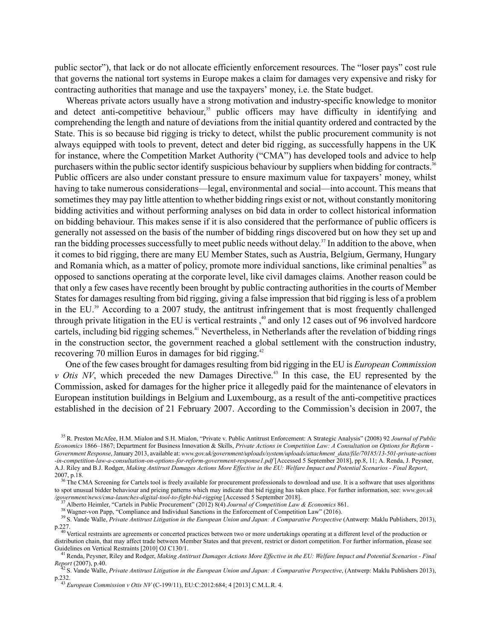public sector"), that lack or do not allocate efficiently enforcement resources. The "loser pays" cost rule that governs the national tort systems in Europe makes a claim for damages very expensive and risky for contracting authorities that manage and use the taxpayers' money, i.e. the State budget.

Whereas private actors usually have a strong motivation and industry-specific knowledge to monitor and detect anti-competitive behaviour,<sup>35</sup> public officers may have difficulty in identifying and comprehending the length and nature of deviations from the initial quantity ordered and contracted by the State. This is so because bid rigging is tricky to detect, whilst the public procurement community is not always equipped with tools to prevent, detect and deter bid rigging, as successfully happens in the UK for instance, where the Competition Market Authority ("CMA") has developed tools and advice to help purchasers within the public sector identify suspicious behaviour by suppliers when bidding for contracts.<sup>36</sup> Public officers are also under constant pressure to ensure maximum value for taxpayers' money, whilst having to take numerous considerations—legal, environmental and social—into account. This means that sometimes they may pay little attention to whether bidding rings exist or not, without constantly monitoring bidding activities and without performing analyses on bid data in order to collect historical information on bidding behaviour. This makes sense if it is also considered that the performance of public officers is generally not assessed on the basis of the number of bidding rings discovered but on how they set up and ran the bidding processes successfully to meet public needs without delay.<sup>37</sup> In addition to the above, when it comes to bid rigging, there are many EU Member States, such as Austria, Belgium, Germany, Hungary and Romania which, as a matter of policy, promote more individual sanctions, like criminal penalties<sup>38</sup> as opposed to sanctions operating at the corporate level, like civil damages claims. Another reason could be that only a few cases have recently been brought by public contracting authorities in the courts of Member States for damages resulting from bid rigging, giving a false impression that bid rigging is less of a problem in the EU. $39$  According to a 2007 study, the antitrust infringement that is most frequently challenged through private litigation in the EU is vertical restraints , <sup>40</sup> and only 12 cases out of 96 involved hardcore cartels, including bid rigging schemes.<sup>41</sup> Nevertheless, in Netherlands after the revelation of bidding rings in the construction sector, the government reached a global settlement with the construction industry, recovering 70 million Euros in damages for bid rigging.<sup>42</sup>

One of the few cases brought for damages resulting from bid rigging in the EU is *European Commission v Otis NV*, which preceded the new Damages Directive. <sup>43</sup> In this case, the EU represented by the Commission, asked for damages for the higher price it allegedly paid for the maintenance of elevators in European institution buildings in Belgium and Luxembourg, as a result of the anti-competitive practices established in the decision of 21 February 2007. According to the Commission's decision in 2007, the

<sup>35</sup> R. Preston McAfee, H.M. Mialon and S.H. Mialon, "Private v. Public Antitrust Enforcement: A Strategic Analysis" (2008) 92 *Journal of Public* Economics 1866-1867; Department for Business Innovation & Skills, Private Actions in Competition Law: A Consultation on Options for Reform -*Government Response*,January 2013, available at: *www.gov.uk/government/uploads/system/uploads/attachment\_data/file/70185/13-501-private-actions -in-competition-law-a-consultation-on-options-for-reform-government-response1.pdf* [Accessed 5 September 2018], pp.8, 11; A. Renda, J. Peysner, A.J. Riley and B.J. Rodger, Making Antitrust Damages Actions More Effective in the EU: Welfare Impact and Potential Scenarios - Final Report, 2007, p.18.

The CMA Screening for Cartels tool is freely available for procurement professionals to download and use. It is a software that uses algorithms to spot unusual bidder behaviour and pricing patterns which may indicate that bid rigging has taken place. For further information, see: *www.gov.uk /government/news/cma-launches-digital-tool-to-fight-bid-rigging* [Accessed 5 September 2018].

<sup>&</sup>lt;sup>37</sup> Alberto Heimler, "Cartels in Public Procurement" (2012) 8(4) Journal of Competition Law & Economics 861.<br><sup>38</sup> Wagner-von Papp, "Compliance and Individual Sanctions in the Enforcement of Competition Law" (2016).

<sup>&</sup>lt;sup>39</sup> S. Vande Walle, Private Antitrust Litigation in the European Union and Japan: A Comparative Perspective (Antwerp: Maklu Publishers, 2013), p.227.<br><sup>40</sup> Vertical restraints are agreements or concerted practices between two or more undertakings operating at a different level of the production or

distribution chain, that may affect trade between Member States and that prevent, restrict or distort competition. For further information, please see Guidelines on Vertical Restraints [2010] OJ C130/1.

 $^{41}$  Renda, Peysner, Riley and Rodger, Making Antitrust Damages Actions More Effective in the EU: Welfare Impact and Potential Scenarios - Final *Report* (2007), p.40.

S. Vande Walle, Private Antitrust Litigation in the European Union and Japan: A Comparative Perspective, (Antwerp: Maklu Publishers 2013), p.232.

<sup>43</sup> *European Commission v Otis NV* (C-199/11), EU:C:2012:684; 4 [2013] C.M.L.R. 4.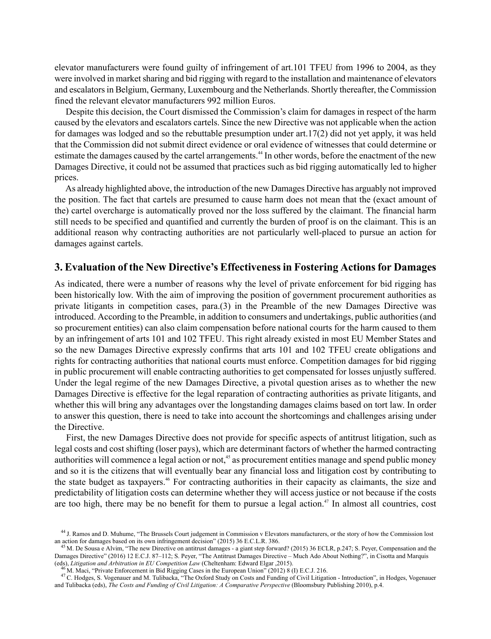elevator manufacturers were found guilty of infringement of art.101 TFEU from 1996 to 2004, as they were involved in market sharing and bid rigging with regard to the installation and maintenance of elevators and escalators in Belgium, Germany, Luxembourg and the Netherlands. Shortly thereafter, the Commission fined the relevant elevator manufacturers 992 million Euros.

Despite this decision, the Court dismissed the Commission's claim for damages in respect of the harm caused by the elevators and escalators cartels.Since the new Directive was not applicable when the action for damages was lodged and so the rebuttable presumption under art.17(2) did not yet apply, it was held that the Commission did not submit direct evidence or oral evidence of witnesses that could determine or estimate the damages caused by the cartel arrangements.<sup>44</sup> In other words, before the enactment of the new Damages Directive, it could not be assumed that practices such as bid rigging automatically led to higher prices.

As already highlighted above, the introduction of the new Damages Directive has arguably not improved the position. The fact that cartels are presumed to cause harm does not mean that the (exact amount of the) cartel overcharge is automatically proved nor the loss suffered by the claimant. The financial harm still needs to be specified and quantified and currently the burden of proof is on the claimant. This is an additional reason why contracting authorities are not particularly well-placed to pursue an action for damages against cartels.

#### **3. Evaluation of the New Directive's Effectivenessin Fostering Actionsfor Damages**

As indicated, there were a number of reasons why the level of private enforcement for bid rigging has been historically low. With the aim of improving the position of government procurement authorities as private litigants in competition cases, para.(3) in the Preamble of the new Damages Directive was introduced. According to the Preamble, in addition to consumers and undertakings, public authorities (and so procurement entities) can also claim compensation before national courts for the harm caused to them by an infringement of arts 101 and 102 TFEU. This right already existed in most EU Member States and so the new Damages Directive expressly confirms that arts 101 and 102 TFEU create obligations and rights for contracting authorities that national courts must enforce. Competition damages for bid rigging in public procurement will enable contracting authorities to get compensated for losses unjustly suffered. Under the legal regime of the new Damages Directive, a pivotal question arises as to whether the new Damages Directive is effective for the legal reparation of contracting authorities as private litigants, and whether this will bring any advantages over the longstanding damages claims based on tort law. In order to answer this question, there is need to take into account the shortcomings and challenges arising under the Directive.

First, the new Damages Directive does not provide for specific aspects of antitrust litigation, such as legal costs and cost shifting (loser pays), which are determinant factors of whether the harmed contracting authorities will commence a legal action or not,<sup>45</sup> as procurement entities manage and spend public money and so it is the citizens that will eventually bear any financial loss and litigation cost by contributing to the state budget as taxpayers.<sup>46</sup> For contracting authorities in their capacity as claimants, the size and predictability of litigation costs can determine whether they will access justice or not because if the costs are too high, there may be no benefit for them to pursue a legal action.<sup>47</sup> In almost all countries, cost

<sup>&</sup>lt;sup>44</sup> J. Ramos and D. Muhume, "The Brussels Court judgement in Commission v Elevators manufacturers, or the story of how the Commission lost an action for damages based on its own infringement decision" (2015) 36 E.C.L.R. 386.<br><sup>45</sup> M. De Sousa e Alvim, "The new Directive on antitrust damages - a giant step forward? (2015) 36 ECLR, p.247; S. Peyer, Compensation

Damages Directive" (2016) 12 E.C.J. 87–112; S. Peyer, "The Antitrust Damages Directive – Much Ado About Nothing?", in Cisotta and Marquis (eds), *Litigation and Arbitration in EU Competition Law* (Cheltenham: Edward Elgar ,2015).

<sup>46</sup> M. Maci, "Private Enforcement in Bid Rigging Cases in the European Union" (2012) 8 (I) E.C.J. 216.

 $47$  C. Hodges, S. Vogenauer and M. Tulibacka, "The Oxford Study on Costs and Funding of Civil Litigation - Introduction", in Hodges, Vogenauer and Tulibacka (eds), *The Costs and Funding of Civil Litigation: A Comparative Perspective* (Bloomsbury Publishing 2010), p.4.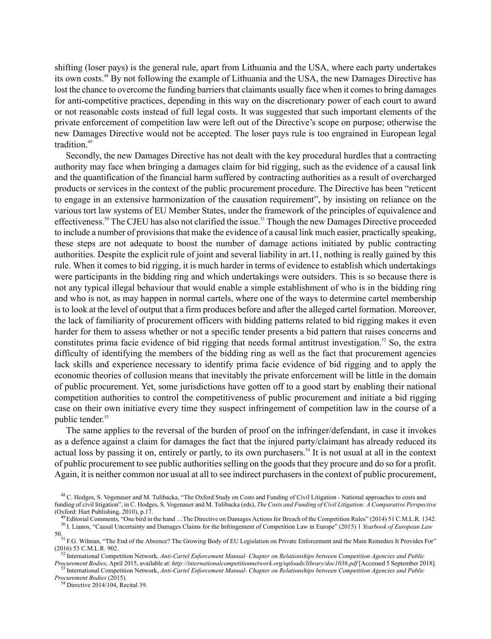shifting (loser pays) is the general rule, apart from Lithuania and the USA, where each party undertakes its own costs.<sup>48</sup> By not following the example of Lithuania and the USA, the new Damages Directive has lost the chance to overcome the funding barriers that claimants usually face when it comes to bring damages for anti-competitive practices, depending in this way on the discretionary power of each court to award or not reasonable costs instead of full legal costs. It was suggested that such important elements of the private enforcement of competition law were left out of the Directive's scope on purpose; otherwise the new Damages Directive would not be accepted. The loser pays rule is too engrained in European legal tradition.<sup>49</sup>

Secondly, the new Damages Directive has not dealt with the key procedural hurdles that a contracting authority may face when bringing a damages claim for bid rigging, such as the evidence of a causal link and the quantification of the financial harm suffered by contracting authorities as a result of overcharged products or services in the context of the public procurement procedure. The Directive has been "reticent to engage in an extensive harmonization of the causation requirement", by insisting on reliance on the various tort law systems of EU Member States, under the framework of the principles of equivalence and effectiveness.<sup>50</sup> The CJEU has also not clarified the issue.<sup>51</sup> Though the new Damages Directive proceeded to include a number of provisionsthat make the evidence of a causal link much easier, practically speaking, these steps are not adequate to boost the number of damage actions initiated by public contracting authorities. Despite the explicit rule of joint and several liability in art.11, nothing is really gained by this rule. When it comes to bid rigging, it is much harder in terms of evidence to establish which undertakings were participants in the bidding ring and which undertakings were outsiders. This is so because there is not any typical illegal behaviour that would enable a simple establishment of who is in the bidding ring and who is not, as may happen in normal cartels, where one of the ways to determine cartel membership is to look at the level of output that a firm produces before and after the alleged cartel formation. Moreover, the lack of familiarity of procurement officers with bidding patterns related to bid rigging makes it even harder for them to assess whether or not a specific tender presents a bid pattern that raises concerns and constitutes prima facie evidence of bid rigging that needs formal antitrust investigation. $52$  So, the extra difficulty of identifying the members of the bidding ring as well as the fact that procurement agencies lack skills and experience necessary to identify prima facie evidence of bid rigging and to apply the economic theories of collusion means that inevitably the private enforcement will be little in the domain of public procurement. Yet, some jurisdictions have gotten off to a good start by enabling their national competition authorities to control the competitiveness of public procurement and initiate a bid rigging case on their own initiative every time they suspect infringement of competition law in the course of a public tender. 53

The same applies to the reversal of the burden of proof on the infringer/defendant, in case it invokes as a defence against a claim for damages the fact that the injured party/claimant has already reduced its actual loss by passing it on, entirely or partly, to its own purchasers.<sup>54</sup> It is not usual at all in the context of public procurement to see public authoritiesselling on the goodsthat they procure and do so for a profit. Again, it is neither common nor usual at all to see indirect purchasersin the context of public procurement,

*Procurement Bodies* (2015).

<sup>54</sup> Directive 2014/104, Recital 39

<sup>&</sup>lt;sup>48</sup> C. Hodges, S. Vogenauer and M. Tulibacka, "The Oxford Study on Costs and Funding of Civil Litigation - National approaches to costs and funding of civil litigation", in C. Hodges, S. Vogenauer and M. Tulibacka (eds), *The Costs and Funding of Civil Litigation: A Comparative Perspective* (Oxford: Hart Publishing, 2010), p.17.

<sup>49</sup>Editorial Comments, "One bird in the hand …The Directive on Damages Actions for Breach of the Competition Rules" (2014) 51 C.M.L.R. 1342. <sup>50</sup> I. Lianos, "Causal Uncertainty and Damages Claims for the Infringement of Competition Law in Europe" (2015) 1 *Yearbook of European Law*

<sup>50.&</sup>lt;br><sup>51</sup> F.G. Wilman, "The End of the Absence? The Growing Body of EU Legislation on Private Enforcement and the Main Remedies It Provides For" (2016) 53 C.M.L.R. 902.<br><sup>52</sup> International Competition Network, Anti-Cartel Enforcement Manual- Chapter on Relationships between Competition Agencies and Public

*Procurement Bodies*, April 2015, available at: *http://internationalcompetitionnetwork.org/uploads/library/doc1036.pdf* [Accessed 5 September 2018]. <sup>53</sup> International Competition Network, *Anti-Cartel Enforcement Manual- Chapter on Relationships between Competition Agencies and Public*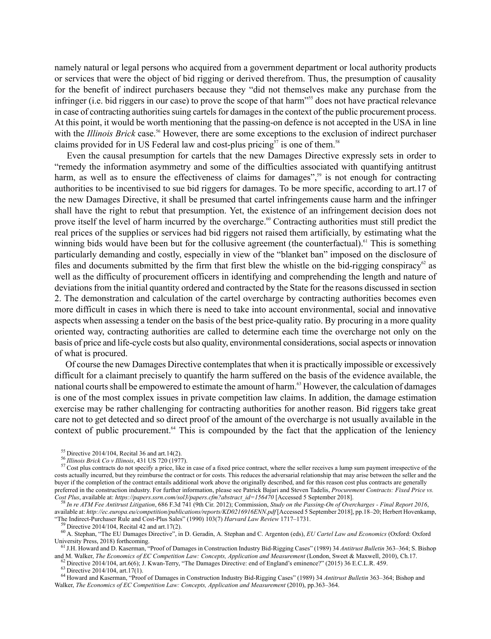namely natural or legal persons who acquired from a government department or local authority products or services that were the object of bid rigging or derived therefrom. Thus, the presumption of causality for the benefit of indirect purchasers because they "did not themselves make any purchase from the infringer (i.e. bid riggers in our case) to prove the scope of that harm<sup>1555</sup> does not have practical relevance in case of contracting authorities suing cartels for damages in the context of the public procurement process. At this point, it would be worth mentioning that the passing-on defence is not accepted in the USA in line with the *Illinois Brick* case.<sup>56</sup> However, there are some exceptions to the exclusion of indirect purchaser claims provided for in US Federal law and cost-plus pricing $57$  is one of them.<sup>58</sup>

Even the causal presumption for cartels that the new Damages Directive expressly sets in order to "remedy the information asymmetry and some of the difficulties associated with quantifying antitrust harm, as well as to ensure the effectiveness of claims for damages",<sup>59</sup> is not enough for contracting authorities to be incentivised to sue bid riggers for damages. To be more specific, according to art.17 of the new Damages Directive, it shall be presumed that cartel infringements cause harm and the infringer shall have the right to rebut that presumption. Yet, the existence of an infringement decision does not prove itself the level of harm incurred by the overcharge.<sup>60</sup> Contracting authorities must still predict the real prices of the supplies or services had bid riggers not raised them artificially, by estimating what the winning bids would have been but for the collusive agreement (the counterfactual).<sup>61</sup> This is something particularly demanding and costly, especially in view of the "blanket ban" imposed on the disclosure of files and documents submitted by the firm that first blew the whistle on the bid-rigging conspiracy<sup>62</sup> as well as the difficulty of procurement officers in identifying and comprehending the length and nature of deviations from the initial quantity ordered and contracted by the State for the reasons discussed in section 2. The demonstration and calculation of the cartel overcharge by contracting authorities becomes even more difficult in cases in which there is need to take into account environmental, social and innovative aspects when assessing a tender on the basis of the best price-quality ratio. By procuring in a more quality oriented way, contracting authorities are called to determine each time the overcharge not only on the basis of price and life-cycle costs but also quality, environmental considerations, social aspects or innovation of what is procured.

Of course the new Damages Directive contemplatesthat when it is practically impossible or excessively difficult for a claimant precisely to quantify the harm suffered on the basis of the evidence available, the national courts shall be empowered to estimate the amount of harm.<sup>63</sup> However, the calculation of damages is one of the most complex issues in private competition law claims. In addition, the damage estimation exercise may be rather challenging for contracting authorities for another reason. Bid riggers take great care not to get detected and so direct proof of the amount of the overcharge is not usually available in the context of public procurement.<sup>64</sup> This is compounded by the fact that the application of the leniency

 $^{62}$  Directive 2014/104, art.6(6); J. Kwan-Terry, "The Damages Directive: end of England's eminence?" (2015) 36 E.C.L.R. 459.

 $63$  Directive 2014/104, art.17(1).

<sup>64</sup> Howard and Kaserman, "Proof of Damages in Construction Industry Bid-Rigging Cases" (1989) 34 *Antitrust Bulletin* 363–364; Bishop and Walker, *The Economics of EC Competition Law: Concepts, Application and Measurement* (2010), pp.363–364.

 $55$  Directive 2014/104, Recital 36 and art.14(2).

<sup>56</sup> *Illinois Brick Co v Illinois*, 431 US 720 (1977).

 $57$  Cost plus contracts do not specify a price, like in case of a fixed price contract, where the seller receives a lump sum payment irrespective of the costs actually incurred, but they reimburse the contract or for costs. This reduces the adversarial relationship that may arise between the seller and the buyer if the completion of the contract entails additional work above the originally described, and for this reason cost plus contracts are generally preferred in the construction industry. For further information, please see Patrick Bajari and Steven Tadelis, *Procurement Contracts: Fixed Price vs. Cost Plus*, available at: *https://papers.ssrn.com/sol3/papers.cfm?abstract\_id=156470* [Accessed 5 September 2018].

In re ATM Fee Antitrust Litigation, 686 F.3d 741 (9th Cir. 2012); Commission, Study on the Passing-On of Overcharges - Final Report 2016, available at: *http://ec.europa.eu/competition/publications/reports/KD0216916ENN.pdf* [Accessed 5 September 2018], pp.18–20; Herbert Hovenkamp, "The Indirect-Purchaser Rule and Cost-Plus Sales" (1990) 103(7) *Harvard Law Review* 1717–1731.

 $<sup>9</sup>$  Directive 2014/104, Recital 42 and art.17(2).</sup>

<sup>60</sup> A. Stephan, "The EU Damages Directive", in D. Geradin, A. Stephan and C. Argenton (eds), *EU Cartel Law and Economics* (Oxford: Oxford University Press, 2018) forthcoming.

<sup>61</sup> J.H. Howard and D. Kaserman, "Proof of Damages in Construction Industry Bid-Rigging Cases" (1989) 34 *Antitrust Bulletin* 363–364; S. Bishop and M. Walker, *The Economics of EC Competition Law: Concepts, Application and Measurement* (London, Sweet & Maxwell, 2010), Ch.17.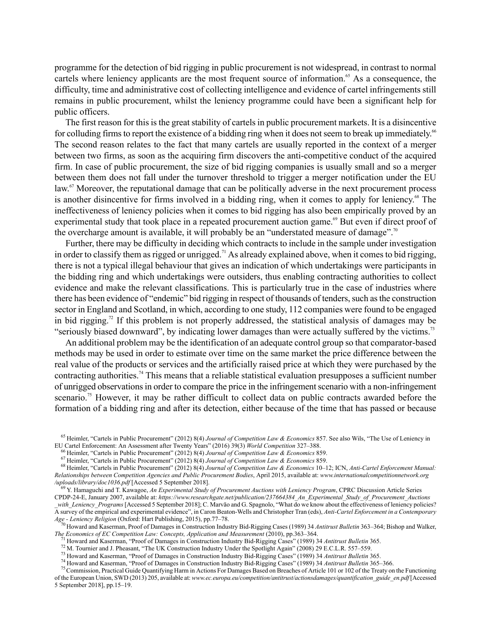programme for the detection of bid rigging in public procurement is not widespread, in contrast to normal cartels where leniency applicants are the most frequent source of information.<sup>65</sup> As a consequence, the difficulty, time and administrative cost of collecting intelligence and evidence of cartel infringements still remains in public procurement, whilst the leniency programme could have been a significant help for public officers.

The first reason for this is the great stability of cartels in public procurement markets. It is a disincentive for colluding firms to report the existence of a bidding ring when it does not seem to break up immediately.<sup>66</sup> The second reason relates to the fact that many cartels are usually reported in the context of a merger between two firms, as soon as the acquiring firm discovers the anti-competitive conduct of the acquired firm. In case of public procurement, the size of bid rigging companies is usually small and so a merger between them does not fall under the turnover threshold to trigger a merger notification under the EU law.<sup>67</sup> Moreover, the reputational damage that can be politically adverse in the next procurement process is another disincentive for firms involved in a bidding ring, when it comes to apply for leniency.<sup>68</sup> The ineffectiveness of leniency policies when it comes to bid rigging has also been empirically proved by an experimental study that took place in a repeated procurement auction game.<sup>69</sup> But even if direct proof of the overcharge amount is available, it will probably be an "understated measure of damage".<sup>70</sup>

Further, there may be difficulty in deciding which contracts to include in the sample under investigation in order to classify them as rigged or unrigged.<sup>71</sup> As already explained above, when it comes to bid rigging, there is not a typical illegal behaviour that gives an indication of which undertakings were participants in the bidding ring and which undertakings were outsiders, thus enabling contracting authorities to collect evidence and make the relevant classifications. This is particularly true in the case of industries where there has been evidence of "endemic" bid rigging in respect of thousands of tenders, such as the construction sector in England and Scotland, in which, according to one study, 112 companies were found to be engaged in bid rigging.<sup>72</sup> If this problem is not properly addressed, the statistical analysis of damages may be "seriously biased downward", by indicating lower damages than were actually suffered by the victims.<sup>73</sup>

An additional problem may be the identification of an adequate control group so that comparator-based methods may be used in order to estimate over time on the same market the price difference between the real value of the products or services and the artificially raised price at which they were purchased by the contracting authorities.<sup>74</sup> This means that a reliable statistical evaluation presupposes a sufficient number of unrigged observationsin order to compare the price in the infringementscenario with a non-infringement scenario.<sup>75</sup> However, it may be rather difficult to collect data on public contracts awarded before the formation of a bidding ring and after its detection, either because of the time that has passed or because

<sup>65</sup> Heimler, "Cartels in Public Procurement" (2012) 8(4) *Journal of Competition Law & Economics* 857. See also Wils, "The Use of Leniency in EU Cartel Enforcement: An Assessment after Twenty Years" (2016) 39(3) *World Competition* 327–388.

<sup>66</sup> Heimler, "Cartels in Public Procurement" (2012) 8(4) *Journal of Competition Law & Economics* 859.

<sup>67</sup> Heimler, "Cartels in Public Procurement" (2012) 8(4) *Journal of Competition Law & Economics* 859.

<sup>68</sup> Heimler, "Cartels in Public Procurement" (2012) 8(4) *Journal of Competition Law & Economics* 10–12; ICN, *Anti-Cartel Enforcement Manual: Relationships between Competition Agencies and Public Procurement Bodies*, April 2015, available at: *www.internationalcompetitionnetwork.org*

htploads/library/doc1036.pdf [Accessed 5 September 2018].<br><sup>69</sup> Y. Hamaguchi and T. Kawagoe, An Experimental Study of Procurement Auctions with Leniency Program, CPRC Discussion Article Series CPDP-24-E, January 2007, available at: *https://www.researchgate.net/publication/237664384\_An\_Experimental\_Study\_of\_Procurement\_Auctions* with Leniency Programs [Accessed 5 September 2018]; C. Marvão and G. Spagnolo, "What do we know about the effectiveness of leniency policies? A survey of the empirical and experimental evidence", in Caron Beaton-Wells and Christopher Tran (eds), *Anti-Cartel Enforcement in a Contemporary* Age - Leniency Religion (Oxford: Hart Publishing, 2015), pp.77–78.<br><sup>70</sup> Howard and Kaserman, Proof of Damages in Construction Industry Bid-Rigging Cases (1989) 34 Antitrust Bulletin 363–364; Bishop and Walker,

*The Economics of EC Competition Law: Concepts, Application and Measurement* (2010), pp.363–364.

<sup>71</sup> Howard and Kaserman, "Proof of Damages in Construction Industry Bid-Rigging Cases" (1989) 34 *Antitrust Bulletin* 365.

<sup>&</sup>lt;sup>72</sup>M. Tournier and J. Pheasant, "The UK Construction Industry Under the Spotlight Again" (2008) 29 E.C.L.R. 557–559.

<sup>73</sup> Howard and Kaserman, "Proof of Damages in Construction Industry Bid-Rigging Cases" (1989) 34 *Antitrust Bulletin* 365.

<sup>&</sup>lt;sup>74</sup> Howard and Kaserman, "Proof of Damages in Construction Industry Bid-Rigging Cases" (1989) 34 Antitrust Bulletin 365–366.<br><sup>75</sup> Commission, Practical Guide Quantifying Harm in Actions For Damages Based on Breaches of Ar

of the European Union, SWD (2013) 205, available at: *www.ec.europa.eu/competition/antitrust/actionsdamages/quantification\_guide\_en.pdf* [Accessed 5 September 2018], pp.15–19.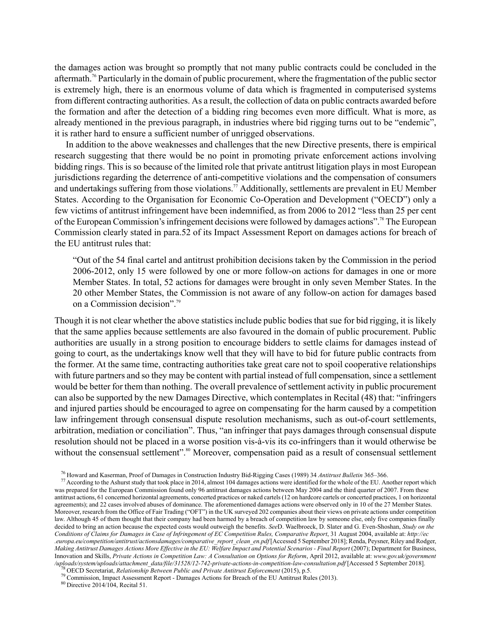the damages action was brought so promptly that not many public contracts could be concluded in the aftermath.<sup>76</sup> Particularly in the domain of public procurement, where the fragmentation of the public sector is extremely high, there is an enormous volume of data which is fragmented in computerised systems from different contracting authorities. As a result, the collection of data on public contracts awarded before the formation and after the detection of a bidding ring becomes even more difficult. What is more, as already mentioned in the previous paragraph, in industries where bid rigging turns out to be "endemic", it is rather hard to ensure a sufficient number of unrigged observations.

In addition to the above weaknesses and challenges that the new Directive presents, there is empirical research suggesting that there would be no point in promoting private enforcement actions involving bidding rings. This is so because of the limited role that private antitrust litigation plays in most European jurisdictions regarding the deterrence of anti-competitive violations and the compensation of consumers and undertakings suffering from those violations.<sup>77</sup> Additionally, settlements are prevalent in EU Member States. According to the Organisation for Economic Co-Operation and Development ("OECD") only a few victims of antitrust infringement have been indemnified, as from 2006 to 2012 "less than 25 per cent of the European Commission's infringement decisions were followed by damages actions".<sup>78</sup> The European Commission clearly stated in para.52 of its Impact Assessment Report on damages actions for breach of the EU antitrust rules that:

"Out of the 54 final cartel and antitrust prohibition decisions taken by the Commission in the period 2006-2012, only 15 were followed by one or more follow-on actions for damages in one or more Member States. In total, 52 actions for damages were brought in only seven Member States. In the 20 other Member States, the Commission is not aware of any follow-on action for damages based on a Commission decision".<sup>79</sup>

Though it is not clear whether the above statistics include public bodies that sue for bid rigging, it is likely that the same applies because settlements are also favoured in the domain of public procurement. Public authorities are usually in a strong position to encourage bidders to settle claims for damages instead of going to court, as the undertakings know well that they will have to bid for future public contracts from the former. At the same time, contracting authorities take great care not to spoil cooperative relationships with future partners and so they may be content with partial instead of full compensation, since a settlement would be better for them than nothing. The overall prevalence of settlement activity in public procurement can also be supported by the new Damages Directive, which contemplates in Recital (48) that: "infringers and injured parties should be encouraged to agree on compensating for the harm caused by a competition law infringement through consensual dispute resolution mechanisms, such as out-of-court settlements, arbitration, mediation or conciliation". Thus, "an infringer that pays damages through consensual dispute resolution should not be placed in a worse position vis-à-vis its co-infringers than it would otherwise be without the consensual settlement".<sup>80</sup> Moreover, compensation paid as a result of consensual settlement

<sup>78</sup> OECD Secretariat, *Relationship Between Public and Private Antitrust Enforcement* (2015), p.5. <sup>79</sup> Commission. Impact Assessment Report - Damages Actions for Breach of the EU Antitrust Rules (2013).

<sup>80</sup> Directive 2014/104, Recital 51.

<sup>76</sup> Howard and Kaserman, Proof of Damages in Construction Industry Bid-Rigging Cases (1989) 34 *Antitrust Bulletin* 365–366.

<sup>&</sup>lt;sup>77</sup> According to the Ashurst study that took place in 2014, almost 104 damages actions were identified for the whole of the EU. Another report which was prepared for the European Commission found only 96 antitrust damages actions between May 2004 and the third quarter of 2007. From these antitrust actions, 61 concerned horizontal agreements, concerted practices or naked cartels (12 on hardcore cartels or concerted practices, 1 on horizontal agreements); and 22 cases involved abuses of dominance. The aforementioned damages actions were observed only in 10 of the 27 Member States. Moreover, research from the Office of Fair Trading ("OFT") in the UK surveyed 202 companies about their views on private actions under competition law. Although 45 of them thought that their company had been harmed by a breach of competition law by someone else, only five companies finally decided to bring an action because the expected costs would outweigh the benefits. *See*D. Waelbroeck, D. Slater and G. Even-Shoshan, *Study on the* Conditions of Claims for Damages in Case of Infringement of EC Competition Rules, Comparative Report, 31 August 2004, available at: http://ec *.europa.eu/competition/antitrust/actionsdamages/comparative\_report\_clean\_en.pdf* [Accessed 5 September 2018]; Renda, Peysner, Riley and Rodger, Making Antitrust Damages Actions More Effective in the EU: Welfare Impact and Potential Scenarios - Final Report (2007); Department for Business, Innovation and Skills, Private Actions in Competition Law: A Consultation on Options for Reform, April 2012, available at: www.gov.uk/government */uploads/system/uploads/attachment\_data/file/31528/12-742-private-actions-in-competition-law-consultation.pdf* [Accessed 5 September 2018].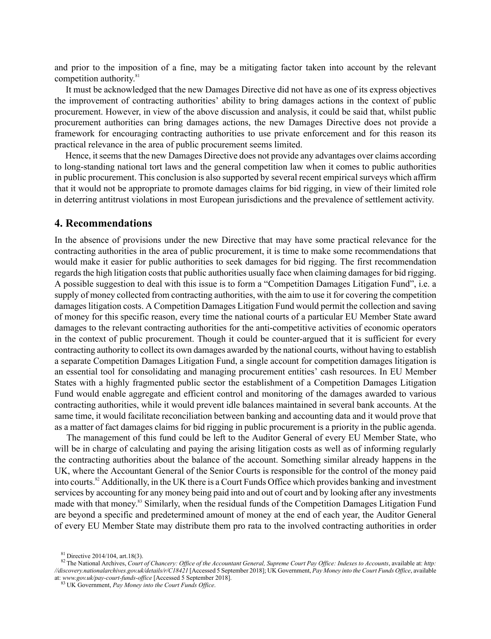and prior to the imposition of a fine, may be a mitigating factor taken into account by the relevant competition authority.<sup>81</sup>

It must be acknowledged that the new Damages Directive did not have as one of its express objectives the improvement of contracting authorities' ability to bring damages actions in the context of public procurement. However, in view of the above discussion and analysis, it could be said that, whilst public procurement authorities can bring damages actions, the new Damages Directive does not provide a framework for encouraging contracting authorities to use private enforcement and for this reason its practical relevance in the area of public procurement seems limited.

Hence, it seems that the new Damages Directive does not provide any advantages over claims according to long-standing national tort laws and the general competition law when it comes to public authorities in public procurement. This conclusion is also supported by several recent empirical surveys which affirm that it would not be appropriate to promote damages claims for bid rigging, in view of their limited role in deterring antitrust violations in most European jurisdictions and the prevalence of settlement activity.

#### **4. Recommendations**

In the absence of provisions under the new Directive that may have some practical relevance for the contracting authorities in the area of public procurement, it is time to make some recommendations that would make it easier for public authorities to seek damages for bid rigging. The first recommendation regards the high litigation costs that public authorities usually face when claiming damages for bid rigging. A possible suggestion to deal with this issue is to form a "Competition Damages Litigation Fund", i.e. a supply of money collected from contracting authorities, with the aim to use it for covering the competition damages litigation costs. A Competition Damages Litigation Fund would permit the collection and saving of money for this specific reason, every time the national courts of a particular EU Member State award damages to the relevant contracting authorities for the anti-competitive activities of economic operators in the context of public procurement. Though it could be counter-argued that it is sufficient for every contracting authority to collect its own damages awarded by the national courts, without having to establish a separate Competition Damages Litigation Fund, a single account for competition damages litigation is an essential tool for consolidating and managing procurement entities' cash resources. In EU Member States with a highly fragmented public sector the establishment of a Competition Damages Litigation Fund would enable aggregate and efficient control and monitoring of the damages awarded to various contracting authorities, while it would prevent idle balances maintained in several bank accounts. At the same time, it would facilitate reconciliation between banking and accounting data and it would prove that as a matter of fact damages claims for bid rigging in public procurement is a priority in the public agenda.

The management of this fund could be left to the Auditor General of every EU Member State, who will be in charge of calculating and paying the arising litigation costs as well as of informing regularly the contracting authorities about the balance of the account. Something similar already happens in the UK, where the Accountant General of the Senior Courts is responsible for the control of the money paid into courts.<sup>82</sup> Additionally, in the UK there is a Court Funds Office which provides banking and investment services by accounting for any money being paid into and out of court and by looking after any investments made with that money.<sup>83</sup> Similarly, when the residual funds of the Competition Damages Litigation Fund are beyond a specific and predetermined amount of money at the end of each year, the Auditor General of every EU Member State may distribute them pro rata to the involved contracting authorities in order

<sup>81</sup> Directive 2014/104, art.18(3).

<sup>82</sup> The National Archives, Court of Chancery: Office of the Accountant General, Supreme Court Pay Office: Indexes to Accounts, available at: http: *//discovery.nationalarchives.gov.uk/details/r/C18421* [Accessed 5 September 2018]; UK Government, *Pay Money into the Court Funds Office*, available at: *www.gov.uk/pay-court-funds-office* [Accessed 5 September 2018].

<sup>83</sup> UK Government, *Pay Money into the Court Funds Office*.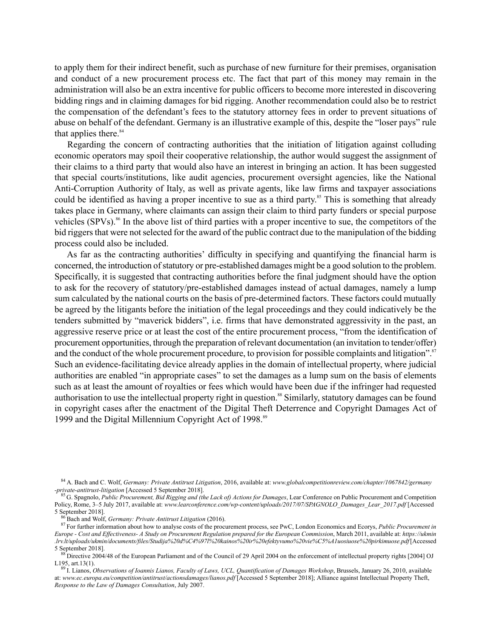to apply them for their indirect benefit, such as purchase of new furniture for their premises, organisation and conduct of a new procurement process etc. The fact that part of this money may remain in the administration will also be an extra incentive for public officers to become more interested in discovering bidding rings and in claiming damages for bid rigging. Another recommendation could also be to restrict the compensation of the defendant's fees to the statutory attorney fees in order to prevent situations of abuse on behalf of the defendant. Germany is an illustrative example of this, despite the "loser pays" rule that applies there. $84$ 

Regarding the concern of contracting authorities that the initiation of litigation against colluding economic operators may spoil their cooperative relationship, the author would suggest the assignment of their claims to a third party that would also have an interest in bringing an action. It has been suggested that special courts/institutions, like audit agencies, procurement oversight agencies, like the National Anti-Corruption Authority of Italy, as well as private agents, like law firms and taxpayer associations could be identified as having a proper incentive to sue as a third party.<sup>85</sup> This is something that already takes place in Germany, where claimants can assign their claim to third party funders or special purpose vehicles  $(SPVs)$ .<sup>86</sup> In the above list of third parties with a proper incentive to sue, the competitors of the bid riggers that were not selected for the award of the public contract due to the manipulation of the bidding process could also be included.

As far as the contracting authorities' difficulty in specifying and quantifying the financial harm is concerned, the introduction of statutory or pre-established damages might be a good solution to the problem. Specifically, it is suggested that contracting authorities before the final judgment should have the option to ask for the recovery of statutory/pre-established damages instead of actual damages, namely a lump sum calculated by the national courts on the basis of pre-determined factors. These factors could mutually be agreed by the litigants before the initiation of the legal proceedings and they could indicatively be the tenders submitted by "maverick bidders", i.e. firms that have demonstrated aggressivity in the past, an aggressive reserve price or at least the cost of the entire procurement process, "from the identification of procurement opportunities, through the preparation of relevant documentation (an invitation to tender/offer) and the conduct of the whole procurement procedure, to provision for possible complaints and litigation".<sup>87</sup> Such an evidence-facilitating device already applies in the domain of intellectual property, where judicial authorities are enabled "in appropriate cases" to set the damages as a lump sum on the basis of elements such as at least the amount of royalties or fees which would have been due if the infringer had requested authorisation to use the intellectual property right in question.<sup>88</sup> Similarly, statutory damages can be found in copyright cases after the enactment of the Digital Theft Deterrence and Copyright Damages Act of 1999 and the Digital Millennium Copyright Act of 1998.<sup>89</sup>

<sup>86</sup> Bach and Wolf, *Germany: Private Antitrust Litigation* (2016).

<sup>84</sup> A. Bach and C. Wolf, *Germany: Private Antitrust Litigation*, 2016, available at: *www.globalcompetitionreview.com/chapter/1067842/germany -private-antitrust-litigation* [Accessed 5 September 2018].

<sup>85</sup> G. Spagnolo, *Public Procurement, Bid Rigging and (the Lack of) Actions for Damages*, Lear Conference on Public Procurement and Competition Policy, Rome, 3–5 July 2017, available at: *www.learconference.com/wp-content/uploads/2017/07/SPAGNOLO\_Damages\_Lear\_2017.pdf* [Accessed 5 September 2018].

<sup>87</sup> For further information about how to analyse costs of the procurement process, see PwC, London Economics and Ecorys, *Public Procurement* in Europe - Cost and Effectiveness- A Study on Procurement Regulation prepared for the European Commission, March 2011, available at: https://ukmin *.lrv.lt/uploads/ukmin/documents/files/Studija%20d%C4%97l%20kainos%20ir%20efektyvumo%20vie%C5%A1uosiuose%20pirkimuose.pdf* [Accessed 5 September 2018]. <sup>88</sup> Directive 2004/48 of the European Parliament and of the Council of 29 April 2004 on the enforcement of intellectual property rights [2004] OJ

L195, art.13(1).

I. Lianos, Observations of Ioannis Lianos, Faculty of Laws, UCL, Quantification of Damages Workshop, Brussels, January 26, 2010, available at: *www.ec.europa.eu/competition/antitrust/actionsdamages/lianos.pdf* [Accessed 5 September 2018]; Alliance against Intellectual Property Theft, *Response to the Law of Damages Consultation*, July 2007.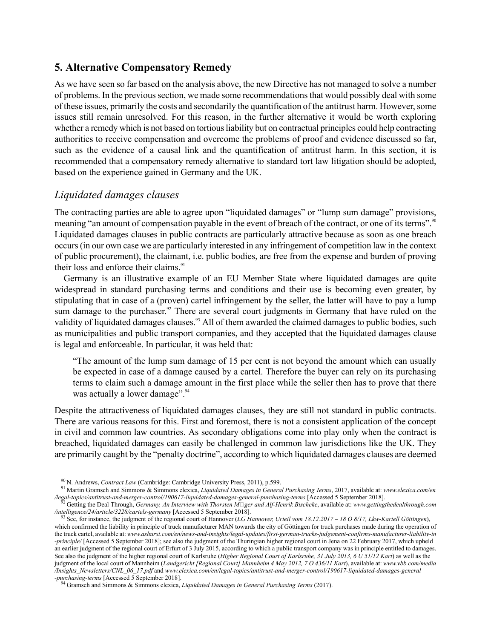### **5. Alternative Compensatory Remedy**

As we have seen so far based on the analysis above, the new Directive has not managed to solve a number of problems. In the previoussection, we made some recommendationsthat would possibly deal with some of these issues, primarily the costs and secondarily the quantification of the antitrust harm. However,some issues still remain unresolved. For this reason, in the further alternative it would be worth exploring whether a remedy which is not based on tortious liability but on contractual principles could help contracting authorities to receive compensation and overcome the problems of proof and evidence discussed so far, such as the evidence of a causal link and the quantification of antitrust harm. In this section, it is recommended that a compensatory remedy alternative to standard tort law litigation should be adopted, based on the experience gained in Germany and the UK.

# *Liquidated damages clauses*

The contracting parties are able to agree upon "liquidated damages" or "lump sum damage" provisions, meaning "an amount of compensation payable in the event of breach of the contract, or one of its terms".<sup>90</sup> Liquidated damages clauses in public contracts are particularly attractive because as soon as one breach occurs(in our own case we are particularly interested in any infringement of competition law in the context of public procurement), the claimant, i.e. public bodies, are free from the expense and burden of proving their loss and enforce their claims.<sup>91</sup>

Germany is an illustrative example of an EU Member State where liquidated damages are quite widespread in standard purchasing terms and conditions and their use is becoming even greater, by stipulating that in case of a (proven) cartel infringement by the seller, the latter will have to pay a lump sum damage to the purchaser.<sup>92</sup> There are several court judgments in Germany that have ruled on the validity of liquidated damages clauses.<sup>93</sup> All of them awarded the claimed damages to public bodies, such as municipalities and public transport companies, and they accepted that the liquidated damages clause is legal and enforceable. In particular, it was held that:

"The amount of the lump sum damage of 15 per cent is not beyond the amount which can usually be expected in case of a damage caused by a cartel. Therefore the buyer can rely on its purchasing terms to claim such a damage amount in the first place while the seller then has to prove that there was actually a lower damage".<sup>94</sup>

Despite the attractiveness of liquidated damages clauses, they are still not standard in public contracts. There are various reasons for this. First and foremost, there is not a consistent application of the concept in civil and common law countries. As secondary obligations come into play only when the contract is breached, liquidated damages can easily be challenged in common law jurisdictions like the UK. They are primarily caught by the "penalty doctrine", according to which liquidated damages clauses are deemed

<sup>90</sup> N. Andrews, *Contract Law* (Cambridge: Cambridge University Press, 2011), p.599.

<sup>91</sup> Martin Gramsch and Simmons & Simmons elexica, *Liquidated Damages in General Purchasing Terms*, 2017, available at: *www.elexica.com/en /legal-topics/antitrust-and-merger-control/190617-liquidated-damages-general-purchasing-terms* [Accessed 5 September 2018].

<sup>92</sup> Getting the Deal Through, *Germany, An Interview with Thorsten Mger and Alf-Henrik Bischeke*, available at: *www.gettingthedealthrough.com /intelligence/24/article/3228/cartels-germany* [Accessed 5 September 2018].

<sup>93</sup> See, for instance, the judgment of the regional court of Hannover (*LG Hannover, Urteil vom 18.12.2017 – 18 O 8/17, Lkw-Kartell Göttingen*), which confirmed the liability in principle of truck manufacturer MAN towards the city of Göttingen for truck purchases made during the operation of the truck cartel, available at: *www.ashurst.com/en/news-and-insights/legal-updates/first-german-trucks-judgement-confirms-manufacturer-liability-in -principle/* [Accessed 5 September 2018]; see also the judgment of the Thuringian higher regional court in Jena on 22 February 2017, which upheld an earlier judgment of the regional court of Erfurt of 3 July 2015, according to which a public transport company was in principle entitled to damages. See also the judgment of the higher regional court of Karlsruhe (Higher Regional Court of Karlsruhe, 31 July 2013, 6  $\dot{\text{U}}$  51/12 Kart) as well as the judgment of the local court of Mannheim (*Landgericht [Regional Court] Mannheim 4 May 2012, 7 O 436/11 Kart*), available at: *www.vbb.com/media /Insights\_Newsletters/CNL\_06\_17.pdf* and *www.elexica.com/en/legal-topics/antitrust-and-merger-control/190617-liquidated-damages-general -purchasing-terms* [Accessed 5 September 2018].

<sup>94</sup> Gramsch and Simmons & Simmons elexica, *Liquidated Damages in General Purchasing Terms* (2017).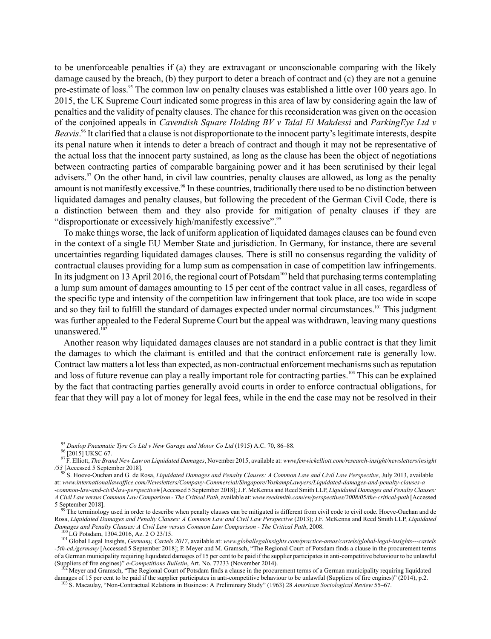to be unenforceable penalties if (a) they are extravagant or unconscionable comparing with the likely damage caused by the breach, (b) they purport to deter a breach of contract and (c) they are not a genuine pre-estimate of loss.<sup>95</sup> The common law on penalty clauses was established a little over 100 years ago. In 2015, the UK Supreme Court indicated some progress in this area of law by considering again the law of penalties and the validity of penalty clauses. The chance for this reconsideration was given on the occasion of the conjoined appeals in *Cavendish Square Holding BV v Talal El Makdessi* and *ParkingEye Ltd v Beavis*.<sup>96</sup> It clarified that a clause is not disproportionate to the innocent party's legitimate interests, despite its penal nature when it intends to deter a breach of contract and though it may not be representative of the actual loss that the innocent party sustained, as long as the clause has been the object of negotiations between contracting parties of comparable bargaining power and it has been scrutinised by their legal advisers.<sup>97</sup> On the other hand, in civil law countries, penalty clauses are allowed, as long as the penalty amount is not manifestly excessive.<sup>98</sup> In these countries, traditionally there used to be no distinction between liquidated damages and penalty clauses, but following the precedent of the German Civil Code, there is a distinction between them and they also provide for mitigation of penalty clauses if they are "disproportionate or excessively high/manifestly excessive".<sup>99</sup>

To make things worse, the lack of uniform application of liquidated damages clauses can be found even in the context of a single EU Member State and jurisdiction. In Germany, for instance, there are several uncertainties regarding liquidated damages clauses. There is still no consensus regarding the validity of contractual clauses providing for a lump sum as compensation in case of competition law infringements. In its judgment on 13 April 2016, the regional court of Potsdam<sup>100</sup> held that purchasing terms contemplating a lump sum amount of damages amounting to 15 per cent of the contract value in all cases, regardless of the specific type and intensity of the competition law infringement that took place, are too wide in scope and so they fail to fulfill the standard of damages expected under normal circumstances.<sup>101</sup> This judgment was further appealed to the Federal Supreme Court but the appeal was withdrawn, leaving many questions unanswered.<sup>102</sup>

Another reason why liquidated damages clauses are not standard in a public contract is that they limit the damages to which the claimant is entitled and that the contract enforcement rate is generally low. Contract law matters a lot less than expected, as non-contractual enforcement mechanisms such as reputation and loss of future revenue can play a really important role for contracting parties.<sup>103</sup> This can be explained by the fact that contracting parties generally avoid courts in order to enforce contractual obligations, for fear that they will pay a lot of money for legal fees, while in the end the case may not be resolved in their

<sup>95</sup> *Dunlop Pneumatic Tyre Co Ltd v New Garage and Motor Co Ltd* (1915) A.C. 70, 86–88.

<sup>&</sup>lt;sup>96</sup> [2015] UKSC 67.

<sup>97</sup>F. Elliott, *The Brand New Law on Liquidated Damages*, November 2015, available at: *www.fenwickelliott.com/research-insight/newsletters/insight /53* [Accessed 5 September 2018].

<sup>98</sup> S. Hoeve-Ouchan and G. de Rosa, *Liquidated Damages and Penalty Clauses: A Common Law and Civil Law Perspective*, July 2013, available at: *www.internationallawoffice.com/Newsletters/Company-Commercial/Singapore/VoskampLawyers/Liquidated-damages-and-penalty-clauses-a -common-law-and-civil-law-perspective#* [Accessed 5 September 2018];J.F. McKenna and Reed Smith LLP, *Liquidated Damages and Penalty Clauses:* A Civil Law versus Common Law Comparison - The Critical Path, available at: www.reedsmith.com/en/perspectives/2008/05/the-critical-path [Accessed 5 September 2018].

The terminology used in order to describe when penalty clauses can be mitigated is different from civil code to civil code. Hoeve-Ouchan and de Rosa, Liquidated Damages and Penalty Clauses: A Common Law and Civil Law Perspective (2013); J.F. McKenna and Reed Smith LLP, Liquidated *Damages and Penalty Clauses: A Civil Law versus Common Law Comparison - The Critical Path*, 2008.

LG Potsdam, 1304.2016, Az. 2 O 23/15.

<sup>101</sup> Global Legal Insights, *Germany, Cartels 2017*, available at: *www.globallegalinsights.com/practice-areas/cartels/global-legal-insights---cartels -5th-ed./germany* [Accessed 5 September 2018]; P. Meyer and M. Gramsch, "The Regional Court of Potsdam finds a clause in the procurement terms of a German municipality requiring liquidated damages of 15 per cent to be paid if the supplier participatesin anti-competitive behaviour to be unlawful (Suppliers of fire engines)" *e-Competitions Bulletin*, Art. No. 77233 (November 2014).

<sup>102</sup> Meyer and Gramsch, "The Regional Court of Potsdam finds a clause in the procurement terms of a German municipality requiring liquidated damages of 15 per cent to be paid if the supplier participates in anti-competitive behaviour to be unlawful (Suppliers of fire engines)" (2014), p.2.

<sup>103</sup> S. Macaulay, "Non-Contractual Relations in Business: A Preliminary Study" (1963) 28 *American Sociological Review* 55–67.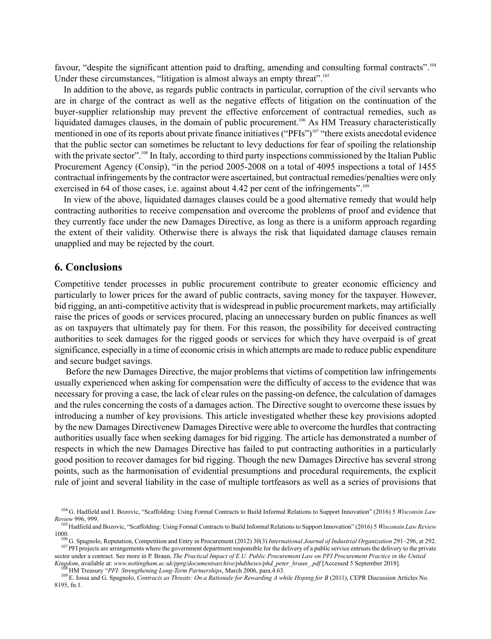favour, "despite the significant attention paid to drafting, amending and consulting formal contracts".<sup>104</sup> Under these circumstances, "litigation is almost always an empty threat".<sup>105</sup>

In addition to the above, as regards public contracts in particular, corruption of the civil servants who are in charge of the contract as well as the negative effects of litigation on the continuation of the buyer-supplier relationship may prevent the effective enforcement of contractual remedies, such as liquidated damages clauses, in the domain of public procurement.<sup>106</sup> As HM Treasury characteristically mentioned in one of its reports about private finance initiatives ("PFIs")<sup>107</sup> "there exists anecdotal evidence that the public sector can sometimes be reluctant to levy deductions for fear of spoiling the relationship with the private sector".<sup>108</sup> In Italy, according to third party inspections commissioned by the Italian Public Procurement Agency (Consip), "in the period 2005-2008 on a total of 4095 inspections a total of 1455 contractual infringements by the contractor were ascertained, but contractual remedies/penalties were only exercised in 64 of those cases, i.e. against about 4.42 per cent of the infringements".<sup>109</sup>

In view of the above, liquidated damages clauses could be a good alternative remedy that would help contracting authorities to receive compensation and overcome the problems of proof and evidence that they currently face under the new Damages Directive, as long as there is a uniform approach regarding the extent of their validity. Otherwise there is always the risk that liquidated damage clauses remain unapplied and may be rejected by the court.

# **6. Conclusions**

Competitive tender processes in public procurement contribute to greater economic efficiency and particularly to lower prices for the award of public contracts, saving money for the taxpayer. However, bid rigging, an anti-competitive activity that is widespread in public procurement markets, may artificially raise the prices of goods or services procured, placing an unnecessary burden on public finances as well as on taxpayers that ultimately pay for them. For this reason, the possibility for deceived contracting authorities to seek damages for the rigged goods or services for which they have overpaid is of great significance, especially in a time of economic crisis in which attempts are made to reduce public expenditure and secure budget savings.

Before the new Damages Directive, the major problems that victims of competition law infringements usually experienced when asking for compensation were the difficulty of access to the evidence that was necessary for proving a case, the lack of clear rules on the passing-on defence, the calculation of damages and the rules concerning the costs of a damages action. The Directive sought to overcome these issues by introducing a number of key provisions. This article investigated whether these key provisions adopted by the new Damages Directivenew Damages Directive were able to overcome the hurdles that contracting authorities usually face when seeking damages for bid rigging. The article has demonstrated a number of respects in which the new Damages Directive has failed to put contracting authorities in a particularly good position to recover damages for bid rigging. Though the new Damages Directive has several strong points, such as the harmonisation of evidential presumptions and procedural requirements, the explicit rule of joint and several liability in the case of multiple tortfeasors as well as a series of provisions that

*Kingdom*, available at: *www.nottingham.ac.uk/pprg/documentsarchive/phdtheses/phd\_peter\_braun\_.pdf* [Accessed 5 September 2018]. <sup>108</sup> HM Treasury "*PFI: Strengthening Long-Term Partnerships*, March 2006, para.4.63.

<sup>104</sup> G. Hadfield and I. Bozovic, "Scaffolding: Using Formal Contracts to Build Informal Relations to Support Innovation" (2016) 5 *Wisconsin Law Review* 996, 999. <sup>105</sup>Hadfield and Bozovic, "Scaffolding: Using Formal Contracts to Build Informal Relations to Support Innovation" (2016) 5 *Wisconsin Law Review*

<sup>1000.</sup>

<sup>106</sup> G. Spagnolo, Reputation, Competition and Entry in Procurement (2012) 30(3) *International Journal of Industrial Organization* 291–296, at 292. <sup>107</sup>PFI projects are arrangements where the government department responsible for the delivery of a public service entrusts the delivery to the private sector under a contract. See more in P. Braun, The Practical Impact of E.U. Public Procurement Law on PFI Procurement Practice in the United

<sup>&</sup>lt;sup>109</sup> E. Iossa and G. Spagnolo, *Contracts as Threats: On a Rationale for Rewarding A while Hoping for B* (2011), CEPR Discussion Articles No. 8195, fn.1.